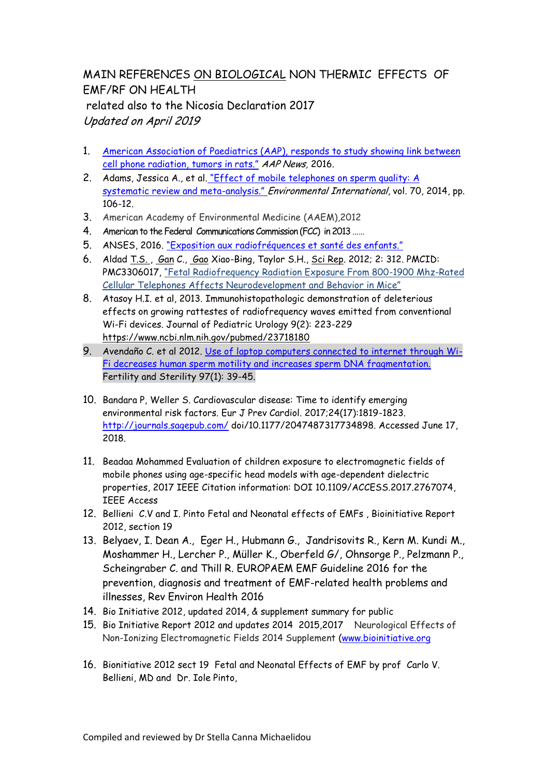## MAIN REFERENCES ΟΝ BIOLOGICAL NON THERMIC EFFECTS OF EMF/RF ON HEALTH related also to the Nicosia Declaration 2017 Updated on April 2019

- 1. [American Association of Paediatrics \(AAP\),](http://www.aappublications.org/news/2016/05/27/Cancer052716) responds to study showing link between [cell phone radiation, tumors](http://www.aappublications.org/news/2016/05/27/Cancer052716) [in rats."](http://www.aappublications.org/news/2016/05/27/Cancer052716) AAP News, 2016.
- 2. Adams, Jessica A., et al. "Effect of mobile telephones on sperm quality: A [systematic review and meta-](https://www.ncbi.nlm.nih.gov/pubmed/24927498)analysis." Environmental International, vol. 70, 2014, pp. 106-12[.](https://ehtrust.org/wp-content/uploads/Adams-et-al-2014.pdf)
- 3. American Academy of Environmental Medicine (AAEM),2012
- 4. American to the Federal Communications Commission (FCC) in 2013 ......
- 5. ANSES, 2016. ["Exposition aux](https://www.anses.fr/fr/content/exposition-des-enfants-aux-radiofr%C3%A9quences-pour-un-usage-mod%C3%A9r%C3%A9-et-encadr%C3%A9-des-technologies) [radiofréquences](https://www.anses.fr/fr/content/exposition-des-enfants-aux-radiofr%C3%A9quences-pour-un-usage-mod%C3%A9r%C3%A9-et-encadr%C3%A9-des-technologies) et [santé des enfants](https://www.anses.fr/fr/content/exposition-des-enfants-aux-radiofr%C3%A9quences-pour-un-usage-mod%C3%A9r%C3%A9-et-encadr%C3%A9-des-technologies)[."](https://www.anses.fr/fr/content/exposition-des-enfants-aux-radiofr%C3%A9quences-pour-un-usage-mod%C3%A9r%C3%A9-et-encadr%C3%A9-des-technologies)
- 6. Aldad [T.S. ,](https://www.ncbi.nlm.nih.gov/pubmed/?term=Aldad%20TS%5BAuthor%5D&cauthor=true&cauthor_uid=22428084) [Gan](https://www.ncbi.nlm.nih.gov/pubmed/?term=Gan%20G%5BAuthor%5D&cauthor=true&cauthor_uid=22428084) C., [Gao](https://www.ncbi.nlm.nih.gov/pubmed/?term=Gao%20XB%5BAuthor%5D&cauthor=true&cauthor_uid=22428084) Xiao-Bing, Taylor S.H., [Sci Rep.](https://www.ncbi.nlm.nih.gov/pmc/articles/PMC3306017/) 2012; 2: 312. PMCID: PMC3306017, "Fetal Radiofrequency Radiation Exposure From 800-1900 Mhz-Rated Cellular Telephones Affects Neurodevelopment and Behavior in Mice"
- 8. Atasoy H.I. et al, 2013. Immunohistopathologic demonstration of deleterious effects on growing rattestes of radiofrequency waves emitted from conventional Wi-Fi devices. Journal of Pediatric Urology 9(2): 223-229 <https://www.ncbi.nlm.nih.gov/pubmed/23718180>
- 9. Avendaño C. et al 2012. [Use of laptop computers connected to internet through Wi-](http://www.ncbi.nlm.nih.gov/pubmed/22112647)[Fi decreases human sperm motility and increases sperm DNA fragmentation.](http://www.ncbi.nlm.nih.gov/pubmed/22112647) Fertility and Sterility 97(1): 39-45.
- 10. Bandara P, Weller S. Cardiovascular disease: Time to identify emerging environmental risk factors. Eur J Prev Cardiol. 2017;24(17):1819-1823. <http://journals.sagepub.com/>doi/10.1177/2047487317734898. Accessed June 17, 2018.
- 11. Beadaa Mohammed Evaluation of children exposure to electromagnetic fields of mobile phones using age-specific head models with age-dependent dielectric properties, 2017 IEEE Citation information: DOI 10.1109/ACCESS.2017.2767074, IEEE Access
- 12. Bellieni C.V and I. Pinto Fetal and Neonatal effects of EMFs , Bioinitiative Report 2012, section 19
- 13. Belyaev, I. Dean A., Eger H., Hubmann G., Jandrisovits R., Kern M. Kundi M., Moshammer H., Lercher P., Müller K., Oberfeld G/, Ohnsorge P., Pelzmann P., Scheingraber C. and Thill R. EUROPAEM EMF Guideline 2016 for the prevention, diagnosis and treatment of EMF-related health problems and illnesses, Rev Environ Health 2016
- 14. Bio Initiative 2012, updated 2014, & supplement summary for public
- 15. Bio Initiative Report 2012 and updates 2014 2015,2017 Neurological Effects of Non-Ionizing Electromagnetic Fields 2014 Supplement [\(www.bioinitiative.org](http://www.bioinitiative.org/)
- 16. Bionitiative 2012 sect 19 Fetal and Neonatal Effects of EMF by prof Carlo V. Bellieni, MD and Dr. Iole Pinto,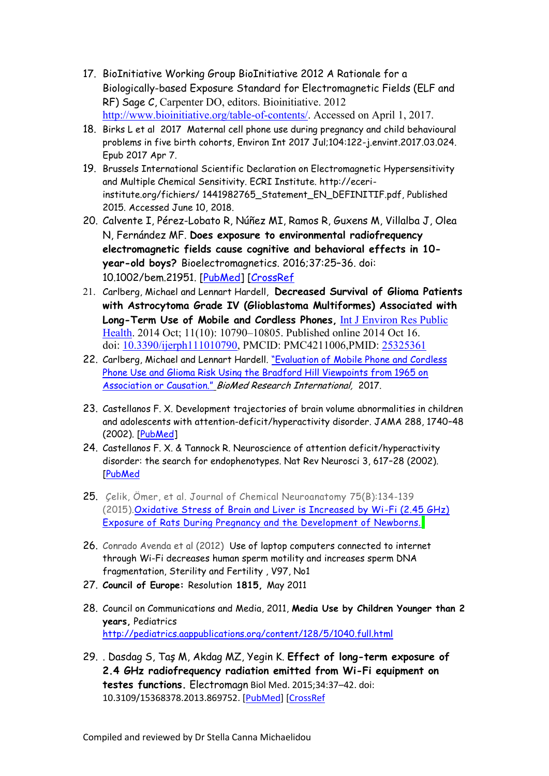- 17. BioInitiative Working Group BioInitiative 2012 A Rationale for a Biologically-based Exposure Standard for Electromagnetic Fields (ELF and RF) Sage C, Carpenter DO, editors. Bioinitiative. 2012 [http://www.bioinitiative.org/table-of-contents/.](http://www.bioinitiative.org/table-of-contents/) Accessed on April 1, 2017.
- 18. Birks L et al 2017 Maternal cell phone use during pregnancy and child behavioural problems in five birth cohorts, Environ Int 2017 Jul;104:122-j.envint.2017.03.024. Epub 2017 Apr 7.
- 19. Brussels International Scientific Declaration on Electromagnetic Hypersensitivity and Multiple Chemical Sensitivity. ECRI Institute. http://eceriinstitute.org/fichiers/ 1441982765\_Statement\_EN\_DEFINITIF.pdf, Published 2015. Accessed June 10, 2018.
- 20. Calvente I, Pérez-Lobato R, Núñez MI, Ramos R, Guxens M, Villalba J, Olea N, Fernández MF. **Does exposure to environmental radiofrequency electromagnetic fields cause cognitive and behavioral effects in 10 year-old boys?** Bioelectromagnetics. 2016;37:25–36. doi: 10.1002/bem.21951. [\[PubMed\]](https://www.ncbi.nlm.nih.gov/pubmed/26769168) [\[CrossRef](https://dx.doi.org/10.1002%2Fbem.21951)
- 21. Carlberg, Michael and Lennart Hardell, **Decreased Survival of Glioma Patients with Astrocytoma Grade IV (Glioblastoma Multiformes) Associated with Long-Term Use of Mobile and Cordless Phones,** [Int J Environ Res Public](https://www.ncbi.nlm.nih.gov/pmc/articles/PMC4211006/)  [Health.](https://www.ncbi.nlm.nih.gov/pmc/articles/PMC4211006/) 2014 Oct; 11(10): 10790–10805. Published online 2014 Oct 16. doi: [10.3390/ijerph111010790,](https://dx.doi.org/10.3390%2Fijerph111010790) PMCID: PMC4211006,PMID: [25325361](https://www.ncbi.nlm.nih.gov/pubmed/25325361)
- 22. Carlberg, Michael and Lennart Hardell. ["Evaluation of Mobile](https://www.ncbi.nlm.nih.gov/pubmed/28401165) Phone and Cordless [Phone Use and Glioma Risk Using the Bradford Hill Viewpoints from 1965 on](https://www.ncbi.nlm.nih.gov/pubmed/28401165)  [Association or Causation."](https://www.ncbi.nlm.nih.gov/pubmed/28401165) BioMed Research International, 2017.
- 23. Castellanos F. X. Development trajectories of brain volume abnormalities in children and adolescents with attention-deficit/hyperactivity disorder. JAMA 288, 1740–48 (2002). [\[PubMed\]](https://www.ncbi.nlm.nih.gov/pubmed/12365958)
- 24. Castellanos F. X. & Tannock R. Neuroscience of attention deficit/hyperactivity disorder: the search for endophenotypes. Nat Rev Neurosci 3, 617–28 (2002). [\[PubMed](https://www.ncbi.nlm.nih.gov/pubmed/12154363)
- 25. Çelik, Ömer, et al. Journal of Chemical Neuroanatomy 75(B):134-139 (2015)[.Oxidative Stress of Brain and Liver is Increased by Wi-Fi \(2.45 GHz\)](http://www.ncbi.nlm.nih.gov/pubmed/26520617)  [Exposure of Rats During Pregnancy and the Development of Newborns.](http://www.ncbi.nlm.nih.gov/pubmed/26520617)
- 26. Conrado Avenda et al (2012) Use of laptop computers connected to internet through Wi-Fi decreases human sperm motility and increases sperm DNA fragmentation, Sterility and Fertility , V97, No1
- 27. **Council of Europe:** Resolution **1815,** May 2011
- 28. Council on Communications and Media, 2011, **Media Use by Children Younger than 2 years,** Pediatrics <http://pediatrics.aappublications.org/content/128/5/1040.full.html>
- 29. . Dasdag S, Taş M, Akdag MZ, Yegin K. **Effect of long-term exposure of 2.4 GHz radiofrequency radiation emitted from Wi-Fi equipment on testes functions.** Electromagn Biol Med. 2015;34:37–42. doi: 10.3109/15368378.2013.869752. [\[PubMed\]](https://www.ncbi.nlm.nih.gov/pubmed/24460421) [\[CrossRef](https://dx.doi.org/10.3109%2F15368378.2013.869752)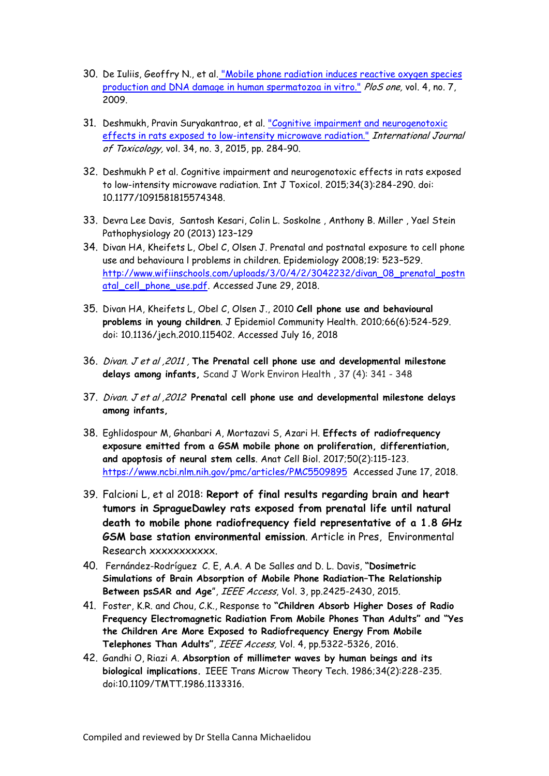- 30. De Iuliis, Geoffry N., et al. ["Mobile phone radiation induces reactive oxygen species](https://www.ncbi.nlm.nih.gov/pubmed/19649291)  [production and DNA damage in human spermatozoa in vitro."](https://www.ncbi.nlm.nih.gov/pubmed/19649291) PloS one, vol. 4, no. 7, 2009.
- 31. Deshmukh, Pravin Suryakantrao, et al. "Cognitive [impairment and neurogenotoxic](https://www.ncbi.nlm.nih.gov/pubmed/25749756) [effects in rats exposed to low-intensity microwave radiation."](https://www.ncbi.nlm.nih.gov/pubmed/25749756) International Journal of Toxicology, vol. 34, no. 3, 2015, pp. 284-90.
- 32. Deshmukh P et al. Cognitive impairment and neurogenotoxic effects in rats exposed to low-intensity microwave radiation. Int J Toxicol. 2015;34(3):284-290. doi: 10.1177/1091581815574348.
- 33. Devra Lee Davis, Santosh Kesari, Colin L. Soskolne , Anthony B. Miller , Yael Stein Pathophysiology 20 (2013) 123–129
- 34. Divan HA, Kheifets L, Obel C, Olsen J. Prenatal and postnatal exposure to cell phone use and behavioura l problems in children. Epidemiology 2008;19: 523–529. [http://www.wifiinschools.com/uploads/3/0/4/2/3042232/divan\\_08\\_prenatal\\_postn](http://www.wifiinschools.com/uploads/3/0/4/2/3042232/divan_08_prenatal_postnatal_cell_phone_use.pdf) [atal\\_cell\\_phone\\_use.pdf.](http://www.wifiinschools.com/uploads/3/0/4/2/3042232/divan_08_prenatal_postnatal_cell_phone_use.pdf) Accessed June 29, 2018.
- 35. Divan HA, Kheifets L, Obel C, Olsen J., 2010 **Cell phone use and behavioural problems in young children**. J Epidemiol Community Health. 2010;66(6):524-529. doi: 10.1136/jech.2010.115402. Accessed July 16, 2018
- 36. Divan. J et al ,2011 , **The Prenatal cell phone use and developmental milestone delays among infants,** Scand J Work Environ Health , 37 (4): 341 - 348
- 37. Divan. J et al ,2012 **Prenatal cell phone use and developmental milestone delays among infants,**
- 38. Eghlidospour M, Ghanbari A, Mortazavi S, Azari H. **Effects of radiofrequency exposure emitted from a GSM mobile phone on proliferation, differentiation, and apoptosis of neural stem cells**. Anat Cell Biol. 2017;50(2):115-123. <https://www.ncbi.nlm.nih.gov/pmc/articles/PMC5509895>Accessed June 17, 2018.
- 39. Falcioni L, et al 2018: **Report of final results regarding brain and heart tumors in SpragueDawley rats exposed from prenatal life until natural death to mobile phone radiofrequency field representative of a 1.8 GHz GSM base station environmental emission**. Article in Pres, Environmental Research xxxxxxxxxxx.
- 40. Fernández-Rodríguez C. E, A.A. A De Salles and D. L. Davis, **"Dosimetric Simulations of Brain Absorption of Mobile Phone Radiation–The Relationship Between psSAR and Age**", IEEE Access, Vol. 3, pp.2425-2430, 2015.
- 41. Foster, K.R. and Chou, C.K., Response to **"Children Absorb Higher Doses of Radio Frequency Electromagnetic Radiation From Mobile Phones Than Adults" and "Yes the Children Are More Exposed to Radiofrequency Energy From Mobile Telephones Than Adults"**, IEEE Access, Vol. 4, pp.5322-5326, 2016.
- 42. Gandhi O, Riazi A. **Absorption of millimeter waves by human beings and its biological implications.** IEEE Trans Microw Theory Tech. 1986;34(2):228-235. doi:10.1109/TMTT.1986.1133316.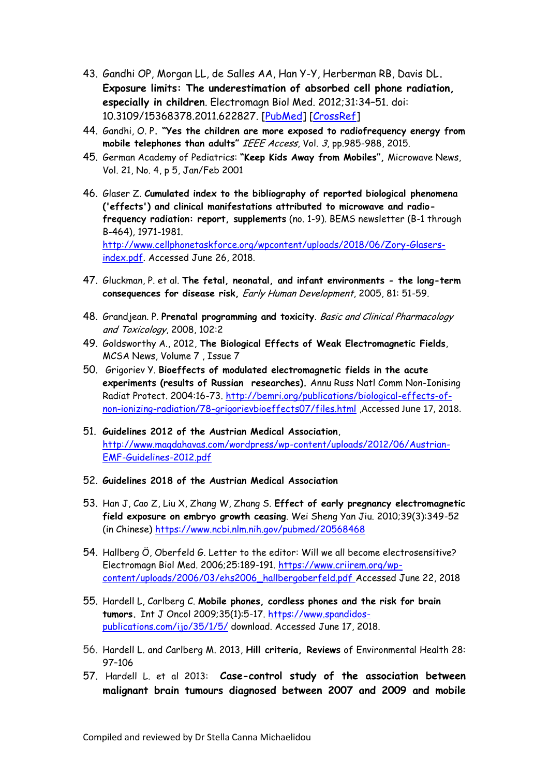- 43. Gandhi OP, Morgan LL, de Salles AA, Han Y-Y, Herberman RB, Davis DL**. Exposure limits: The underestimation of absorbed cell phone radiation, especially in children**. Electromagn Biol Med. 2012;31:34–51. doi: 10.3109/15368378.2011.622827. [\[PubMed\]](https://www.ncbi.nlm.nih.gov/pubmed/21999884) [\[CrossRef\]](https://dx.doi.org/10.3109%2F15368378.2011.622827)
- 44. Gandhi, O. P**. "Yes the children are more exposed to radiofrequency energy from mobile telephones than adults"** IEEE Access, Vol. 3, pp.985-988, 2015.
- 45. German Academy of Pediatrics: **"Keep Kids Away from Mobiles",** Microwave News, Vol. 21, No. 4, p 5, Jan/Feb 2001
- 46. Glaser Z. **Cumulated index to the bibliography of reported biological phenomena ('effects') and clinical manifestations attributed to microwave and radiofrequency radiation: report, supplements** (no. 1-9). BEMS newsletter (B-1 through B-464), 1971-1981. [http://www.cellphonetaskforce.org/wpcontent/uploads/2018/06/Zory-Glasers](http://www.cellphonetaskforce.org/wpcontent/uploads/2018/06/Zory-Glasers-index.pdf)[index.pdf.](http://www.cellphonetaskforce.org/wpcontent/uploads/2018/06/Zory-Glasers-index.pdf) Accessed June 26, 2018.
- 47. Gluckman, P. et al. **The fetal, neonatal, and infant environments - the long-term consequences for disease risk,** Early Human Development, 2005, 81: 51-59.
- 48. Grandjean. P. **Prenatal programming and toxicity**. Basic and Clinical Pharmacology and Toxicology, 2008, 102:2
- 49. Goldsworthy A., 2012, **The Biological Effects of Weak Electromagnetic Fields**, MCSA News, Volume 7 , Issue 7
- 50. Grigoriev Y. **Bioeffects of modulated electromagnetic fields in the acute experiments (results of Russian researches).** Annu Russ Natl Comm Non-Ionising Radiat Protect. 2004:16-73. [http://bemri.org/publications/biological-effects-of](http://bemri.org/publications/biological-effects-of-non-ionizing-radiation/78-grigorievbioeffects07/files.html)[non-ionizing-radiation/78-grigorievbioeffects07/files.html](http://bemri.org/publications/biological-effects-of-non-ionizing-radiation/78-grigorievbioeffects07/files.html) ,Accessed June 17, 2018.
- 51. **Guidelines 2012 of the Austrian Medical Association**, [http://www.magdahavas.com/wordpress/wp-content/uploads/2012/06/Austrian-](http://www.magdahavas.com/wordpress/wp-content/uploads/2012/06/Austrian-EMF-Guidelines-2012.pdf)[EMF-Guidelines-2012.pdf](http://www.magdahavas.com/wordpress/wp-content/uploads/2012/06/Austrian-EMF-Guidelines-2012.pdf)
- 52. **Guidelines 2018 of the Austrian Medical Association**
- 53. Han J, Cao Z, Liu X, Zhang W, Zhang S. **Effect of early pregnancy electromagnetic field exposure on embryo growth ceasing**. Wei Sheng Yan Jiu. 2010;39(3):349-52 (in Chinese)<https://www.ncbi.nlm.nih.gov/pubmed/20568468>
- 54. Hallberg Ö, Oberfeld G. Letter to the editor: Will we all become electrosensitive? Electromagn Biol Med. 2006;25:189-191. [https://www.criirem.org/wp](https://www.criirem.org/wp-content/uploads/2006/03/ehs2006_hallbergoberfeld.pdf)[content/uploads/2006/03/ehs2006\\_hallbergoberfeld.pdf](https://www.criirem.org/wp-content/uploads/2006/03/ehs2006_hallbergoberfeld.pdf) Accessed June 22, 2018
- 55. Hardell L, Carlberg C. **Mobile phones, cordless phones and the risk for brain tumors.** Int J Oncol 2009;35(1):5-17. [https://www.spandidos](https://www.spandidos-publications.com/ijo/35/1/5/)[publications.com/ijo/35/1/5/](https://www.spandidos-publications.com/ijo/35/1/5/) download. Accessed June 17, 2018.
- 56. Hardell L. and Carlberg M. 2013, **Hill criteria, Reviews** of Environmental Health 28: 97–106
- 57. Hardell L. et al 2013: **Case-control study of the association between malignant brain tumours diagnosed between 2007 and 2009 and mobile**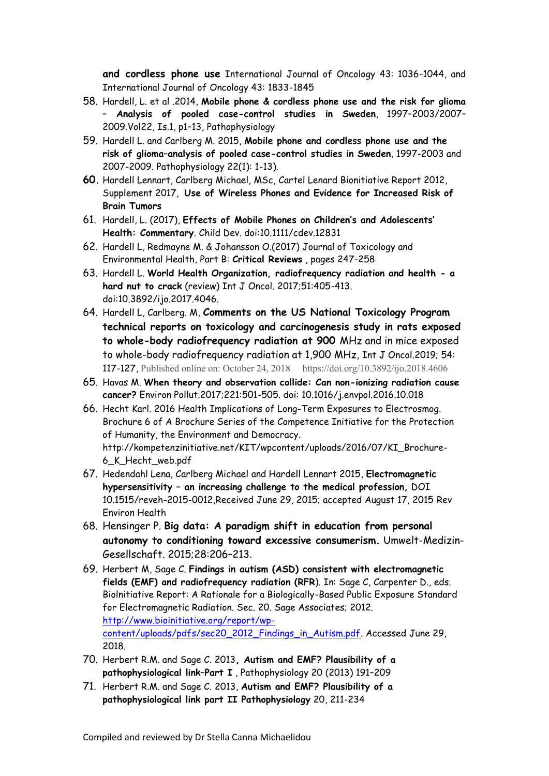**and cordless phone use** International Journal of Oncology 43: 1036-1044, and International Journal of Oncology 43: 1833-1845

- 58. Hardell, L. et al .2014, **[Mobile phone & cordless phone use and](http://www.pathophysiologyjournal.com/article/S0928-4680(14)00064-9/abstract) the risk for glioma – [Analysis of pooled case-control studies in Sweden](http://www.pathophysiologyjournal.com/article/S0928-4680(14)00064-9/abstract)**, 1997–2003/2007– [2009.V](http://www.pathophysiologyjournal.com/article/S0928-4680(14)00064-9/abstract)ol22, Is.1, p1–13, Pathophysiology
- 59. Hardell L. and Carlberg M. 2015, **Mobile phone and cordless phone use and the risk of glioma–analysis of pooled case-control studies in Sweden**, 1997-2003 and 2007-2009. Pathophysiology 22(1): 1-13).
- **60.** Hardell Lennart, Carlberg Michael, MSc, Cartel Lenard Bionitiative Report 2012, Supplement 2017, **Use of Wireless Phones and Evidence for Increased Risk of Brain Tumors**
- 61. Hardell, L. (2017), **Effects of Mobile Phones on Children's and Adolescents' Health: Commentary**. Child Dev. doi:10.1111/cdev.12831
- 62. Hardell L, Redmayne M. & Johansson O.(2017) Journal of Toxicology and Environmental Health, Part B: **Critical Reviews** , pages 247-258
- 63. Hardell L. **World Health Organization, radiofrequency radiation and health - a hard nut to crack** (review) Int J Oncol. 2017;51:405-413. doi:10.3892/ijo.2017.4046.
- 64. Hardell L, Carlberg. M, **Comments on the US National Toxicology Program technical reports on toxicology and carcinogenesis study in rats exposed to whole-body radiofrequency radiation at 900** MHz and in mice exposed to whole-body radiofrequency radiation at 1,900 MHz, Int J Oncol.2019; 54: 117-127, Published online on: October 24, 2018 https://doi.org/10.3892/ijo.2018.4606
- 65. Havas M. **When theory and observation collide: Can non-ionizing radiation cause cancer?** Environ Pollut.2017;221:501-505. doi: 10.1016/j.envpol.2016.10.018
- 66. Hecht Karl. 2016 Health Implications of Long-Term Exposures to Electrosmog. Brochure 6 of A Brochure Series of the Competence Initiative for the Protection of Humanity, the Environment and Democracy. http://kompetenzinitiative.net/KIT/wpcontent/uploads/2016/07/KI\_Brochure-6\_K\_Hecht\_web.pdf
- 67. Hedendahl Lena, Carlberg Michael and Hardell Lennart 2015, **Electromagnetic hypersensitivity – an increasing challenge to the medical profession,** DOI 10.1515/reveh-2015-0012,Received June 29, 2015; accepted August 17, 2015 Rev Environ Health
- 68. Hensinger P. **Big data: A paradigm shift in education from personal autonomy to conditioning toward excessive consumerism.** Umwelt-Medizin-Gesellschaft. 2015;28:206–213.
- 69. Herbert M, Sage C. **Findings in autism (ASD) consistent with electromagnetic fields (EMF) and radiofrequency radiation (RFR**). In: Sage C, Carpenter D., eds. Biolnitiative Report: A Rationale for a Biologically-Based Public Exposure Standard for Electromagnetic Radiation. Sec. 20. Sage Associates; 2012. [http://www.bioinitiative.org/report/wp](http://www.bioinitiative.org/report/wp-content/uploads/pdfs/sec20_2012_Findings_in_Autism.pdf)[content/uploads/pdfs/sec20\\_2012\\_Findings\\_in\\_Autism.pdf.](http://www.bioinitiative.org/report/wp-content/uploads/pdfs/sec20_2012_Findings_in_Autism.pdf) Accessed June 29, 2018.
- 70. Herbert R.M. and Sage C. 2013**, Autism and EMF? Plausibility of a pathophysiological link–Part I** , Pathophysiology 20 (2013) 191–209
- 71. Herbert R.M. and Sage C. 2013, **Autism and EMF? Plausibility of a pathophysiological link part II Pathophysiology** 20, 211-234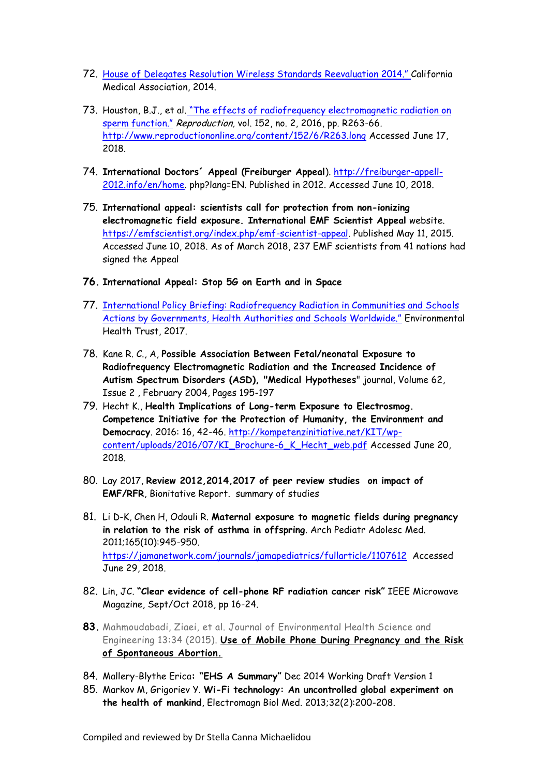- 72. [House of Delegates Resolution Wireless Standards Reevaluation](https://ehtrust.org/the-california-medical-association-wireless-resolution/) [2014."](https://ehtrust.org/the-california-medical-association-wireless-resolution/) California Medical Association, 2014.
- 73. Houston, B.J., et al. ["The effects of radiofrequency electromagnetic radiation on](https://www.ncbi.nlm.nih.gov/pubmed/27601711)  [sperm function."](https://www.ncbi.nlm.nih.gov/pubmed/27601711) Reproduction, vol. 152, no. 2, 2016, pp. R263-66. <http://www.reproductiononline.org/content/152/6/R263.long> Accessed June 17, 2018.
- 74. **International Doctors´ Appeal (Freiburger Appeal**). [http://freiburger-appell-](http://freiburger-appell-2012.info/en/home)[2012.info/en/home.](http://freiburger-appell-2012.info/en/home) php?lang=EN. Published in 2012. Accessed June 10, 2018.
- 75. **International appeal: scientists call for protection from non-ionizing electromagnetic field exposure. International EMF Scientist Appeal** website. [https://emfscientist.org/index.php/emf-scientist-appeal.](https://emfscientist.org/index.php/emf-scientist-appeal) Published May 11, 2015. Accessed June 10, 2018. As of March 2018, 237 EMF scientists from 41 nations had signed the Appeal
- **76. International Appeal: Stop 5G on Earth and in Space**
- 77. [International Policy Briefing: Radiofrequency Radiation in Communities and Schools](https://ehtrust.org/wp-content/uploads/International-Policy-Precautionary-Actions-on-Wireless-Radiation.pdf)  [Actions by Governments, Health Authorities and Schools Worldwide."](https://ehtrust.org/wp-content/uploads/International-Policy-Precautionary-Actions-on-Wireless-Radiation.pdf) Environmental Health Trust, 2017.
- 78. Kane R. C., A, **Possible Association Between Fetal/neonatal Exposure to Radiofrequency Electromagnetic Radiation and the Increased Incidence of Autism Spectrum Disorders (ASD), "Medical Hypotheses**" journal, Volume 62, Issue 2 , February 2004, Pages 195-197
- 79. Hecht K., **Health Implications of Long-term Exposure to Electrosmog. Competence Initiative for the Protection of Humanity, the Environment and Democracy**. 2016: 16, 42-46. [http://kompetenzinitiative.net/KIT/wp](http://kompetenzinitiative.net/KIT/wp-content/uploads/2016/07/KI_Brochure-6_K_Hecht_web.pdf)[content/uploads/2016/07/KI\\_Brochure-6\\_K\\_Hecht\\_web.pdf](http://kompetenzinitiative.net/KIT/wp-content/uploads/2016/07/KI_Brochure-6_K_Hecht_web.pdf) Accessed June 20, 2018.
- 80. Lay 2017, **Review 2012,2014,2017 of peer review studies on impact of EMF/RFR**, Bionitative Report. summary of studies
- 81. Li D-K, Chen H, Odouli R. **Maternal exposure to magnetic fields during pregnancy in relation to the risk of asthma in offspring**. Arch Pediatr Adolesc Med. 2011;165(10):945-950. <https://jamanetwork.com/journals/jamapediatrics/fullarticle/1107612>Accessed June 29, 2018.
- 82. Lin, JC. **"Clear evidence of cell-phone RF radiation cancer risk"** IEEE Microwave Magazine, Sept/Oct 2018, pp 16-24.
- **83.** Mahmoudabadi, Ziaei, et al. Journal of Environmental Health Science and Engineering 13:34 (2015). **[Use of Mobile Phone During Pregnancy and the Risk](http://www.ncbi.nlm.nih.gov/pmc/articles/PMC4416385/)  [of Spontaneous Abortion.](http://www.ncbi.nlm.nih.gov/pmc/articles/PMC4416385/)**
- 84. Mallery-Blythe Erica**: "EHS A Summary"** Dec 2014 Working Draft Version 1
- 85. Markov M, Grigoriev Y. **Wi-Fi technology: An uncontrolled global experiment on the health of mankind**, Electromagn Biol Med. 2013;32(2):200-208.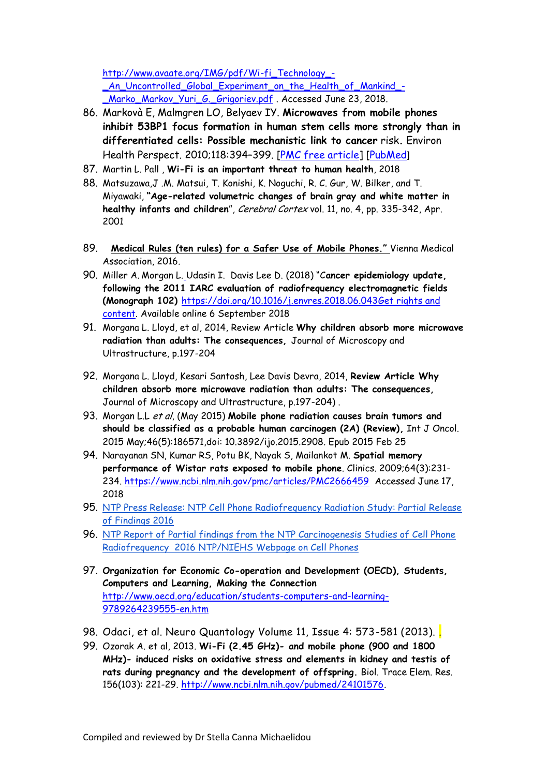[http://www.avaate.org/IMG/pdf/Wi-fi\\_Technology\\_-](http://www.avaate.org/IMG/pdf/Wi-fi_Technology_-_An_Uncontrolled_Global_Experiment_on_the_Health_of_Mankind_-_Marko_Markov_Yuri_G._Grigoriev.pdf) [\\_An\\_Uncontrolled\\_Global\\_Experiment\\_on\\_the\\_Health\\_of\\_Mankind\\_-](http://www.avaate.org/IMG/pdf/Wi-fi_Technology_-_An_Uncontrolled_Global_Experiment_on_the_Health_of_Mankind_-_Marko_Markov_Yuri_G._Grigoriev.pdf) [\\_Marko\\_Markov\\_Yuri\\_G.\\_Grigoriev.pdf](http://www.avaate.org/IMG/pdf/Wi-fi_Technology_-_An_Uncontrolled_Global_Experiment_on_the_Health_of_Mankind_-_Marko_Markov_Yuri_G._Grigoriev.pdf) . Accessed June 23, 2018.

- 86. Markovà E, Malmgren LO, Belyaev IY. **Microwaves from mobile phones inhibit 53BP1 focus formation in human stem cells more strongly than in differentiated cells: Possible mechanistic link to cancer** risk**.** Environ Health Perspect. 2010;118:394–399. [\[PMC free article\]](https://www.ncbi.nlm.nih.gov/pmc/articles/PMC2854769/) [\[PubMed](https://www.ncbi.nlm.nih.gov/pubmed/20064781)]
- 87. Martin L. Pall , **Wi-Fi is an important threat to human health**, 2018
- 88. Matsuzawa,J .M. Matsui, T. Konishi, K. Noguchi, R. C. Gur, W. Bilker, and T. Miyawaki, **"Age-related volumetric changes of brain gray and white matter in healthy infants and children**", Cerebral Cortex vol. 11, no. 4, pp. 335-342, Apr. 2001
- 89. **[Medical Rules \(ten rules\) for a Safer Use of Mobile Phones."](https://ehtrust.org/cell-phone-guidelines/)** Vienna Medical Association, 2016.
- 90. Miller A. Morgan L. [U](https://www.sciencedirect.com/science/article/pii/S0013935118303475)dasin I. Davis Lee D. (2018) "C**ancer epidemiology update, following the 2011 IARC evaluation of radiofrequency electromagnetic fields (Monograph 102)** [https://doi.org/10.1016/j.envres.2018.06.043Get rights and](https://doi.org/10.1016/j.envres.2018.06.043)  [content.](https://s100.copyright.com/AppDispatchServlet?publisherName=ELS&contentID=S0013935118303475&orderBeanReset=true) Available online 6 September 2018
- 91. Morgana L. Lloyd, et al, 2014, Review Article **Why children absorb more microwave radiation than adults: The consequences,** Journal of Microscopy and Ultrastructure, p.197-204
- 92. Morgana L. Lloyd, Kesari Santosh, Lee Davis Devra, 2014, **Review Article Why children absorb more microwave radiation than adults: The consequences,** Journal of Microscopy and Ultrastructure, p.197-204) .
- 93. Morgan L.L et al, (May 2015) **Mobile phone radiation causes brain tumors and should be classified as a probable human carcinogen (2A) (Review),** Int J Oncol. 2015 May;46(5):186571,doi: 10.3892/ijo.2015.2908. Epub 2015 Feb 25
- 94. Narayanan SN, Kumar RS, Potu BK, Nayak S, Mailankot M. **Spatial memory performance of Wistar rats exposed to mobile phone**. Clinics. 2009;64(3):231- 234. <https://www.ncbi.nlm.nih.gov/pmc/articles/PMC2666459> Accessed June 17, 2018
- 95. NTP Press Release: NTP Cell [Phone Radiofrequency Radiation Study: Partial Release](http://www.niehs.nih.gov/news/newsroom/releases/2016/may27/index.cfm)  [of Findings](http://www.niehs.nih.gov/news/newsroom/releases/2016/may27/index.cfm) 2016
- 96. [NTP Report of Partial findings from the NTP Carcinogenesis Studies of Cell Phone](http://biorxiv.org/content/early/2016/05/26/055699)  [Radiofrequency](http://biorxiv.org/content/early/2016/05/26/055699) 2016 [NTP/NIEHS Webpage on Cell Phones](http://ntp.niehs.nih.gov/results/areas/cellphones/index.html)
- 97. **Organization for Economic Co-operation and Development (OECD), Students, Computers and Learning, Making the Connection** [http://www.oecd.org/education/students-computers-and-learning-](http://www.oecd.org/education/students-computers-and-learning-9789264239555-en.htm)[9789264239555-en.htm](http://www.oecd.org/education/students-computers-and-learning-9789264239555-en.htm)
- 98. Odaci, et al. Neuro Quantology Volume 11, Issue 4: 573-581 (2013).
- 99. Ozorak A. et al, 2013. **Wi-Fi (2.45 GHz)- and mobile phone (900 and 1800 MHz)- induced risks on oxidative stress and elements in kidney and testis of rats during pregnancy and the development of offspring.** Biol. Trace Elem. Res. 156(103): 221-29. [http://www.ncbi.nlm.nih.gov/pubmed/24101576.](http://www.ncbi.nlm.nih.gov/pubmed/24101576)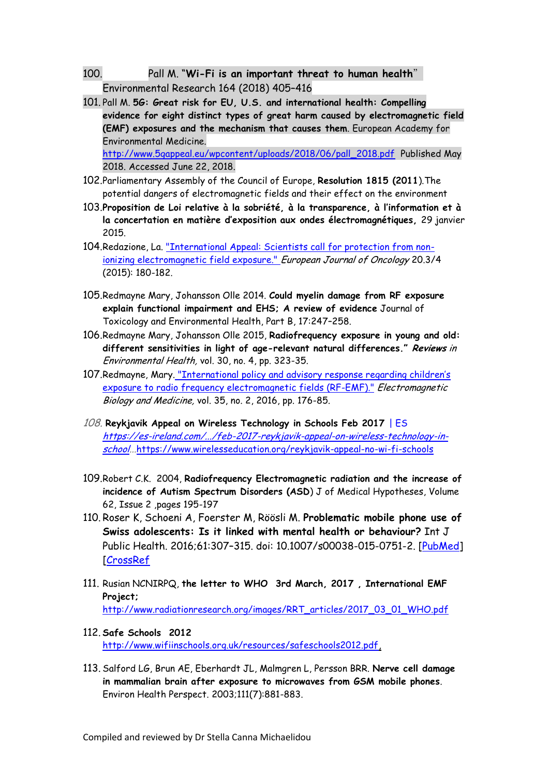- 100. Pall M. "**Wi-Fi is an important threat to human health**" Environmental Research 164 (2018) 405–416
- 101. Pall M. **5G: Great risk for EU, U.S. and international health: Compelling evidence for eight distinct types of great harm caused by electromagnetic field (EMF) exposures and the mechanism that causes them**. European Academy for Environmental Medicine. [http://www.5gappeal.eu/wpcontent/uploads/2018/06/pall\\_2018.pdf](http://www.5gappeal.eu/wpcontent/uploads/2018/06/pall_2018.pdf) Published May

2018. Accessed June 22, 2018.

- 102.Parliamentary Assembly of the Council of Europe, **Resolution 1815 (2011**).The potential dangers of electromagnetic fields and their effect on the environment
- 103.**Proposition de Loi relative à la sobriété, à la transparence, à l'information et à la concertation en matière d'exposition aux ondes électromagnétiques,** 29 janvier 2015.
- 104.Redazione, La. ["International Appeal: Scientists call for protection from non](https://emfscientist.org/images/docs/International-EMF-Scientist-Appeal-2016.pdf)[ionizing electromagnetic field exposure."](https://emfscientist.org/images/docs/International-EMF-Scientist-Appeal-2016.pdf) European Journal of Oncology 20.3/4 (2015): 180-182.
- 105.Redmayne Mary, Johansson Olle 2014. **Could myelin damage from RF exposure explain functional impairment and EHS; A review of evidence** Journal of Toxicology and Environmental Health, Part B, 17:247–258.
- 106.Redmayne Mary, Johansson Olle 2015, **[Radiofrequency exposure in young and old:](http://1.usa.gov/1PWOqlc)  [different sensitivities in light of age-](http://1.usa.gov/1PWOqlc)relevant natural differences." Reviews** in Environmental Health, vol. 30, no. 4, pp. 323-35.
- 107.Redmayne, Mary. ["International policy and advisory response regarding children's](http://nebula.wsimg.com/fbed8bb8a26c6f14262cff2e8fd4dcb7?AccessKeyId=045114F8E0676B9465FB&disposition=0&alloworigin=1)  [exposure to radio frequency electromagnetic fields \(RF-EMF\)."](http://nebula.wsimg.com/fbed8bb8a26c6f14262cff2e8fd4dcb7?AccessKeyId=045114F8E0676B9465FB&disposition=0&alloworigin=1) Electromagnetic Biology and Medicine, vol. 35, no. 2, 2016, pp. 176-85.
- 108. **[Reykjavik Appeal on Wireless Technology in Schools Feb 2017](https://es-ireland.com/2017/02/20/feb-2017-reykjavik-appeal-on-wireless-technology-in-schools/)** | ES [https://es-ireland.com/.../feb-2017-reykjavik-appeal-on-wireless-technology-in](https://es-ireland.com/.../feb-2017-reykjavik-appeal-on-wireless-technology-in-school)[school.](https://es-ireland.com/.../feb-2017-reykjavik-appeal-on-wireless-technology-in-school)..<https://www.wirelesseducation.org/reykjavik-appeal-no-wi-fi-schools>
- 109.Robert C.K. 2004, **Radiofrequency Electromagnetic radiation and the increase of incidence of Autism Spectrum Disorders (ASD**) J of Medical Hypotheses, Volume 62, Issue 2 ,pages 195-197
- 110. Roser K, Schoeni A, Foerster M, Röösli M. **Problematic mobile phone use of Swiss adolescents: Is it linked with mental health or behaviour?** Int J Public Health. 2016;61:307–315. doi: 10.1007/s00038-015-0751-2. [\[PubMed\]](https://www.ncbi.nlm.nih.gov/pubmed/26450576) [\[CrossRef](https://dx.doi.org/10.1007%2Fs00038-015-0751-2)
- 111. Rusian NCNIRPQ, **the letter to WHO 3rd March, 2017 , International EMF Project;** [http://www.radiationresearch.org/images/RRT\\_articles/2017\\_03\\_01\\_WHO.pdf](http://www.radiationresearch.org/images/RRT_articles/2017_03_01_WHO.pdf)
- 112. **Safe Schools 2012** [http://www.wifiinschools.org.uk/resources/safeschools2012.pdf,](http://www.wifiinschools.org.uk/resources/safeschools2012.pdf)
- 113. Salford LG, Brun AE, Eberhardt JL, Malmgren L, Persson BRR. **Nerve cell damage in mammalian brain after exposure to microwaves from GSM mobile phones**. Environ Health Perspect. 2003;111(7):881-883.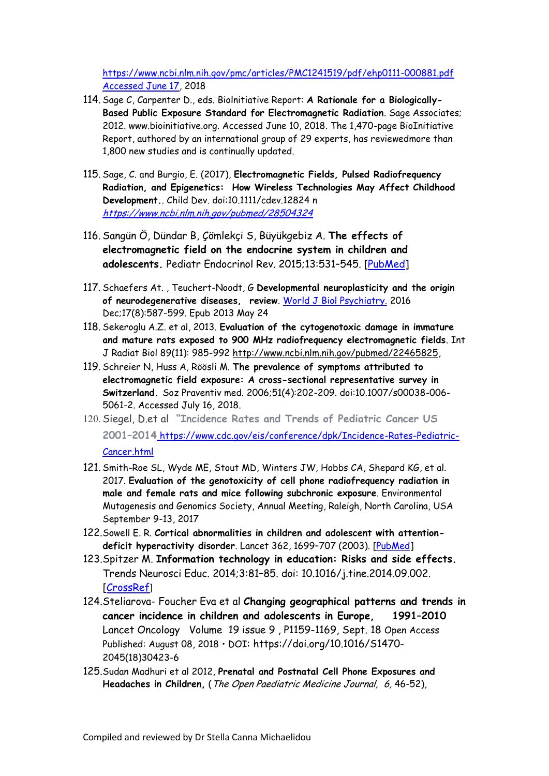[https://www.ncbi.nlm.nih.gov/pmc/articles/PMC1241519/pdf/ehp0111-000881.pdf](https://www.ncbi.nlm.nih.gov/pmc/articles/PMC1241519/pdf/ehp0111-000881.pdf%20Accessed%20June%2017)  [Accessed June 17,](https://www.ncbi.nlm.nih.gov/pmc/articles/PMC1241519/pdf/ehp0111-000881.pdf%20Accessed%20June%2017) 2018

- 114. Sage C, Carpenter D., eds. Biolnitiative Report: **A Rationale for a Biologically-Based Public Exposure Standard for Electromagnetic Radiation**. Sage Associates; 2012. www.bioinitiative.org. Accessed June 10, 2018. The 1,470-page BioInitiative Report, authored by an international group of 29 experts, has reviewedmore than 1,800 new studies and is continually updated.
- 115. Sage, C. and Burgio, E. (2017), **Electromagnetic Fields, Pulsed Radiofrequency Radiation, and Epigenetics: How Wireless Technologies May Affect Childhood Development.**. Child Dev. doi:10.1111/cdev.12824 n <https://www.ncbi.nlm.nih.gov/pubmed/28504324>
- 116. Sangün Ö, Dündar B, Çömlekçi S, Büyükgebiz A. **The effects of electromagnetic field on the endocrine system in children and adolescents.** Pediatr Endocrinol Rev. 2015;13:531–545. [\[PubMed\]](https://www.ncbi.nlm.nih.gov/pubmed/26841641)
- 117. Schaefers At. , Teuchert-Noodt, G **Developmental neuroplasticity and the origin**  of neurodegenerative diseases, review. [World J Biol](https://www.ncbi.nlm.nih.gov/pubmed/23705632) [Psychiatry.](https://www.ncbi.nlm.nih.gov/pubmed/23705632) 2016 Dec;17(8):587-599. Epub 2013 May 24
- 118. Sekeroglu A.Z. et al, 2013. **Evaluation of the cytogenotoxic damage in immature and mature rats exposed to 900 MHz radiofrequency electromagnetic fields**. Int J Radiat Biol 89(11): 985-992 [http://www.ncbi.nlm.nih.gov/pubmed/22465825,](http://www.ncbi.nlm.nih.gov/pubmed/22465825)
- 119. Schreier N, Huss A, Röösli M. **The prevalence of symptoms attributed to electromagnetic field exposure: A cross-sectional representative survey in Switzerland.** Soz Praventiv med. 2006;51(4):202-209. doi:10.1007/s00038-006- 5061-2. Accessed July 16, 2018.
- 120. Siegel, D.et al **"Incidence Rates and Trends of Pediatric Cancer US 2001–2014** [https://www.cdc.gov/eis/conference/dpk/Incidence-Rates-Pediatric-](file:///C:/Users/Stella/Documents/AAA%20CURRENT%20%20WORK%20OCT14/RIK_%20ARTICLES_INFO_BOOK/MOBILE%20PHONES_WIFI/Mobile_electronics%20from%202014/CORE%20Mobil%20electronics/WIFI%20From%20April%2015/MOB_Sem_15_18/HMERIDA%202017_18/BIBLIOGRAPHY%202019/ https:/www.cdc.gov/eis/conference/dpk/Incidence-Rates-Pediatric-Cancer.html)[Cancer.html](file:///C:/Users/Stella/Documents/AAA%20CURRENT%20%20WORK%20OCT14/RIK_%20ARTICLES_INFO_BOOK/MOBILE%20PHONES_WIFI/Mobile_electronics%20from%202014/CORE%20Mobil%20electronics/WIFI%20From%20April%2015/MOB_Sem_15_18/HMERIDA%202017_18/BIBLIOGRAPHY%202019/ https:/www.cdc.gov/eis/conference/dpk/Incidence-Rates-Pediatric-Cancer.html)
- 121. Smith-Roe SL, Wyde ME, Stout MD, Winters JW, Hobbs CA, Shepard KG, et al. 2017. **Evaluation of the genotoxicity of cell phone radiofrequency radiation in male and female rats and mice following subchronic exposure**. Environmental Mutagenesis and Genomics Society, Annual Meeting, Raleigh, North Carolina, USA September 9-13, 2017
- 122.Sowell E. R. **Cortical abnormalities in children and adolescent with attentiondeficit hyperactivity disorder**. Lancet 362, 1699–707 (2003). [\[PubMed\]](https://www.ncbi.nlm.nih.gov/pubmed/14643117)
- 123.Spitzer M. **Information technology in education: Risks and side effects.** Trends Neurosci Educ. 2014;3:81–85. doi: 10.1016/j.tine.2014.09.002. [\[CrossRef](https://dx.doi.org/10.1016%2Fj.tine.2014.09.002)]
- 124.Steliarova- Foucher Eva et al **Changing geographical patterns and trends in cancer incidence in children and adolescents in Europe, 1991–2010**  Lancet OncologyVolume 19 issue 9 , P1159-1169, Sept. 18 Open Access Published: August 08, 2018 • DOI: https://doi.org/10.1016/S1470- 2045(18)30423-6
- 125.Sudan Madhuri et al 2012, **Prenatal and Postnatal Cell Phone Exposures and Headaches in Children,** (The Open Paediatric Medicine Journal, 6, 46-52),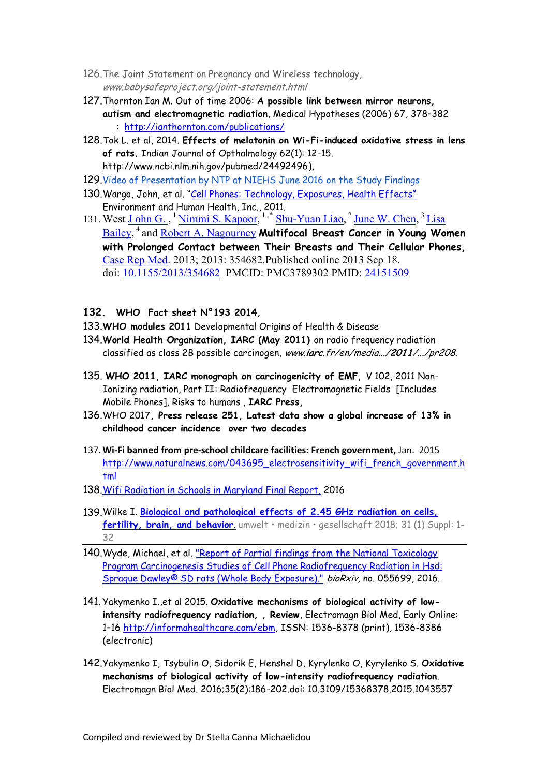- 126.The Joint Statement on Pregnancy and Wireless technology, www.babysafeproject.org/joint-statement.html
- 127.Thornton Ian M. Out of time 2006: **A possible link between mirror neurons, autism and electromagnetic radiation**, Medical Hypotheses (2006) 67, 378–382 : <http://ianthornton.com/publications/>
- 128.Tok L. et al, 2014. **Effects of melatonin on Wi-Fi-induced oxidative stress in lens of rats.** Indian Journal of Opthalmology 62(1): 12-15. [http://www.ncbi.nlm.nih.gov/pubmed/24492496\)](http://www.ncbi.nlm.nih.gov/pubmed/24492496),
- 129.[Video of Presentation by NTP at NIEHS June 2016 on the Study Findings](https://www.youtube.com/watch?v=m6Qs6mCvmZc)
- 130.Wargo, John, et al. ["Cell Phones: Technology, Exposures, Health Effects"](http://www.ehhi.org/cell-phones)  Environment and Human Health, Inc., 2011.
- 131. West J ohn G., <sup>1</sup> [Nimmi S. Kapoor,](https://www.ncbi.nlm.nih.gov/pubmed/?term=Kapoor%20NS%5BAuthor%5D&cauthor=true&cauthor_uid=24151509) <sup>1,\*</sup> [Shu-Yuan Liao,](https://www.ncbi.nlm.nih.gov/pubmed/?term=Liao%20SY%5BAuthor%5D&cauthor=true&cauthor_uid=24151509) <sup>2</sup> [June W. Chen,](https://www.ncbi.nlm.nih.gov/pubmed/?term=Chen%20JW%5BAuthor%5D&cauthor=true&cauthor_uid=24151509) <sup>3</sup> Lisa [Bailey,](https://www.ncbi.nlm.nih.gov/pubmed/?term=Bailey%20L%5BAuthor%5D&cauthor=true&cauthor_uid=24151509) <sup>4</sup>and [Robert A. Nagourney](https://www.ncbi.nlm.nih.gov/pubmed/?term=Nagourney%20RA%5BAuthor%5D&cauthor=true&cauthor_uid=24151509) **Multifocal Breast Cancer in Young Women with Prolonged Contact between Their Breasts and Their Cellular Phones,**  [Case Rep Med.](https://www.ncbi.nlm.nih.gov/pmc/articles/PMC3789302/) 2013; 2013: 354682.Published online 2013 Sep 18. doi: [10.1155/2013/354682](https://dx.doi.org/10.1155%2F2013%2F354682) PMCID: PMC3789302 PMID: [24151509](https://www.ncbi.nlm.nih.gov/pubmed/24151509)

## **132. WHO Fact sheet N°193 2014,**

- 133.**WHO modules 2011** Developmental Origins of Health & Disease
- 134.**World Health Organization, ΙARC (May 2011)** on radio frequency radiation classified as class 2B possible carcinogen, www.**iarc**.fr/en/media.../**2011**/.../pr208.
- 135. **WHO 2011, IARC monograph on carcinogenicity of EMF**, V 102, 2011 Non-Ionizing radiation, Part II: Radiofrequency Electromagnetic Fields [Includes Mobile Phones], Risks to humans , **IARC Press,**
- 136.WHO 2017**, Press release 251, Latest data show a global increase of 13% in childhood cancer incidence over two decades**
- 137. **Wi-Fi banned from pre-school childcare facilities: French government,** Jan. 2015 [http://www.naturalnews.com/043695\\_electrosensitivity\\_wifi\\_french\\_government.h](http://www.naturalnews.com/043695_electrosensitivity_wifi_french_government.html) [tml](http://www.naturalnews.com/043695_electrosensitivity_wifi_french_government.html)
- 138.[Wifi](http://phpa.dhmh.maryland.gov/OEHFP/EH/Shared%20Documents/CEHPAC/MD_CEHPAC_SchoolWiFi_022017_final.pdf) [Radiation in Schools in Maryland Final Report,](http://phpa.dhmh.maryland.gov/OEHFP/EH/Shared%20Documents/CEHPAC/MD_CEHPAC_SchoolWiFi_022017_final.pdf) 2016
- 139.Wilke I. **[Biological and pathological effects of 2.45 GHz radiation on cells,](http://www.emfdata.org/en/studies/detail?id=439)  [fertility, brain, and behavior](http://www.emfdata.org/en/studies/detail?id=439)**. umwelt • medizin • gesellschaft 2018; 31 (1) Suppl: 1- 32
- 140.Wyde, Michael, et al. ["Report of Partial findings from the National Toxicology](http://biorxiv.org/content/early/2016/05/26/055699)  [Program Carcinogenesis Studies of Cell Phone Radiofrequency Radiation in Hsd:](http://biorxiv.org/content/early/2016/05/26/055699)  [Sprague Dawley® SD rats \(Whole Body Exposure\)."](http://biorxiv.org/content/early/2016/05/26/055699) bioRxiv, no. 055699, 2016.
- 141. Yakymenko I. et al 2015. Oxidative mechanisms of biological activity of low**intensity radiofrequency radiation, , Review**, Electromagn Biol Med, Early Online: 1–16 [http://informahealthcare.com/ebm,](http://informahealthcare.com/ebm) ISSN: 1536-8378 (print), 1536-8386 (electronic)
- 142.Yakymenko I, Tsybulin O, Sidorik E, Henshel D, Kyrylenko O, Kyrylenko S. **Oxidative mechanisms of biological activity of low-intensity radiofrequency radiation**. Electromagn Biol Med. 2016;35(2):186-202.doi: 10.3109/15368378.2015.1043557